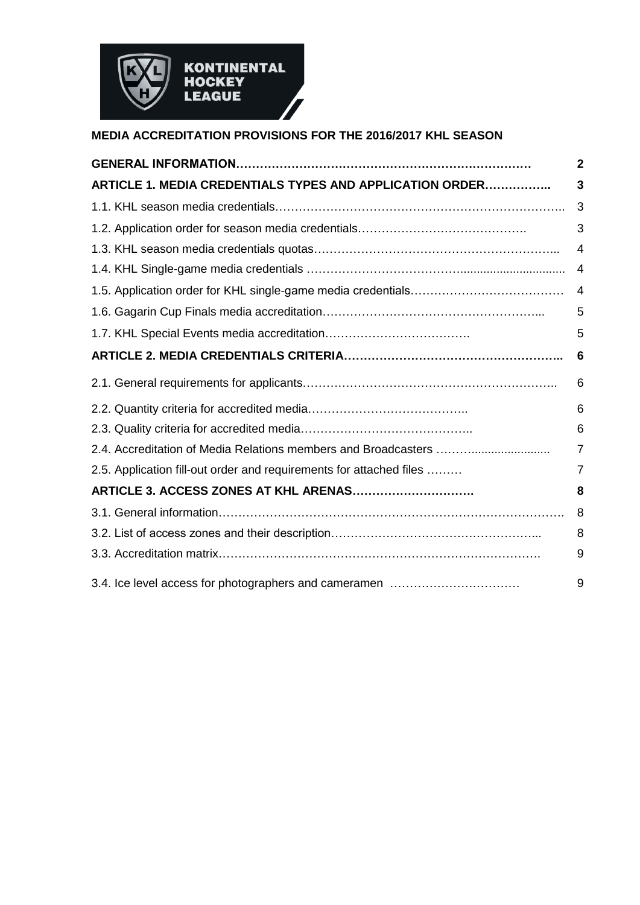

# **MEDIA ACCREDITATION PROVISIONS FOR THE 2016/2017 KHL SEASON**

|                                                                     | $\mathbf 2$ |
|---------------------------------------------------------------------|-------------|
| ARTICLE 1. MEDIA CREDENTIALS TYPES AND APPLICATION ORDER            | 3           |
|                                                                     | 3           |
|                                                                     | 3           |
|                                                                     | 4           |
|                                                                     | 4           |
|                                                                     | 4           |
|                                                                     | 5           |
|                                                                     | 5           |
|                                                                     | 6           |
|                                                                     | 6           |
|                                                                     | 6           |
|                                                                     | 6           |
|                                                                     | 7           |
| 2.5. Application fill-out order and requirements for attached files | 7           |
| ARTICLE 3. ACCESS ZONES AT KHL ARENAS                               | 8           |
|                                                                     | 8           |
|                                                                     | 8           |
|                                                                     | 9           |
| 3.4. Ice level access for photographers and cameramen               | 9           |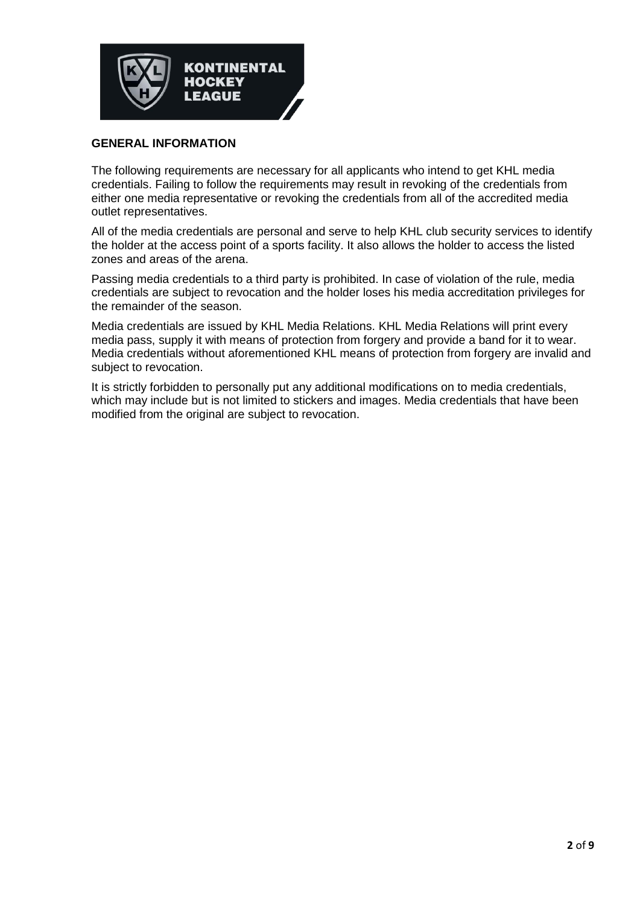

### **GENERAL INFORMATION**

The following requirements are necessary for all applicants who intend to get KHL media credentials. Failing to follow the requirements may result in revoking of the credentials from either one media representative or revoking the credentials from all of the accredited media outlet representatives.

All of the media credentials are personal and serve to help KHL club security services to identify the holder at the access point of a sports facility. It also allows the holder to access the listed zones and areas of the arena.

Passing media credentials to a third party is prohibited. In case of violation of the rule, media credentials are subject to revocation and the holder loses his media accreditation privileges for the remainder of the season.

Media credentials are issued by KHL Media Relations. KHL Media Relations will print every media pass, supply it with means of protection from forgery and provide a band for it to wear. Media credentials without aforementioned KHL means of protection from forgery are invalid and subject to revocation.

It is strictly forbidden to personally put any additional modifications on to media credentials, which may include but is not limited to stickers and images. Media credentials that have been modified from the original are subject to revocation.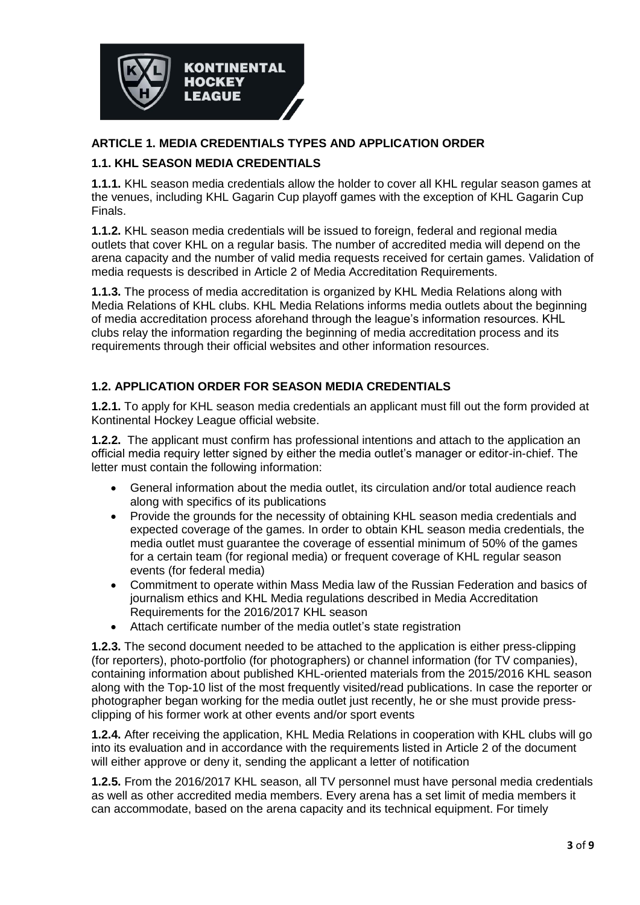

### **ARTICLE 1. MEDIA CREDENTIALS TYPES AND APPLICATION ORDER**

### **1.1. KHL SEASON MEDIA CREDENTIALS**

**1.1.1.** KHL season media credentials allow the holder to cover all KHL regular season games at the venues, including KHL Gagarin Cup playoff games with the exception of KHL Gagarin Cup Finals.

**1.1.2.** KHL season media credentials will be issued to foreign, federal and regional media outlets that cover KHL on a regular basis. The number of accredited media will depend on the arena capacity and the number of valid media requests received for certain games. Validation of media requests is described in Article 2 of Media Accreditation Requirements.

**1.1.3.** The process of media accreditation is organized by KHL Media Relations along with Media Relations of KHL clubs. KHL Media Relations informs media outlets about the beginning of media accreditation process aforehand through the league's information resources. KHL clubs relay the information regarding the beginning of media accreditation process and its requirements through their official websites and other information resources.

## **1.2. APPLICATION ORDER FOR SEASON MEDIA CREDENTIALS**

**1.2.1.** To apply for KHL season media credentials an applicant must fill out the form provided at Kontinental Hockey League official website.

**1.2.2.** The applicant must confirm has professional intentions and attach to the application an official media requiry letter signed by either the media outlet's manager or editor-in-chief. The letter must contain the following information:

- General information about the media outlet, its circulation and/or total audience reach along with specifics of its publications
- Provide the grounds for the necessity of obtaining KHL season media credentials and expected coverage of the games. In order to obtain KHL season media credentials, the media outlet must guarantee the coverage of essential minimum of 50% of the games for a certain team (for regional media) or frequent coverage of KHL regular season events (for federal media)
- Commitment to operate within Mass Media law of the Russian Federation and basics of journalism ethics and KHL Media regulations described in Media Accreditation Requirements for the 2016/2017 KHL season
- Attach certificate number of the media outlet's state registration

**1.2.3.** The second document needed to be attached to the application is either press-clipping (for reporters), photo-portfolio (for photographers) or channel information (for TV companies), containing information about published KHL-oriented materials from the 2015/2016 KHL season along with the Top-10 list of the most frequently visited/read publications. In case the reporter or photographer began working for the media outlet just recently, he or she must provide pressclipping of his former work at other events and/or sport events

**1.2.4.** After receiving the application, KHL Media Relations in cooperation with KHL clubs will go into its evaluation and in accordance with the requirements listed in Article 2 of the document will either approve or deny it, sending the applicant a letter of notification

**1.2.5.** From the 2016/2017 KHL season, all TV personnel must have personal media credentials as well as other accredited media members. Every arena has a set limit of media members it can accommodate, based on the arena capacity and its technical equipment. For timely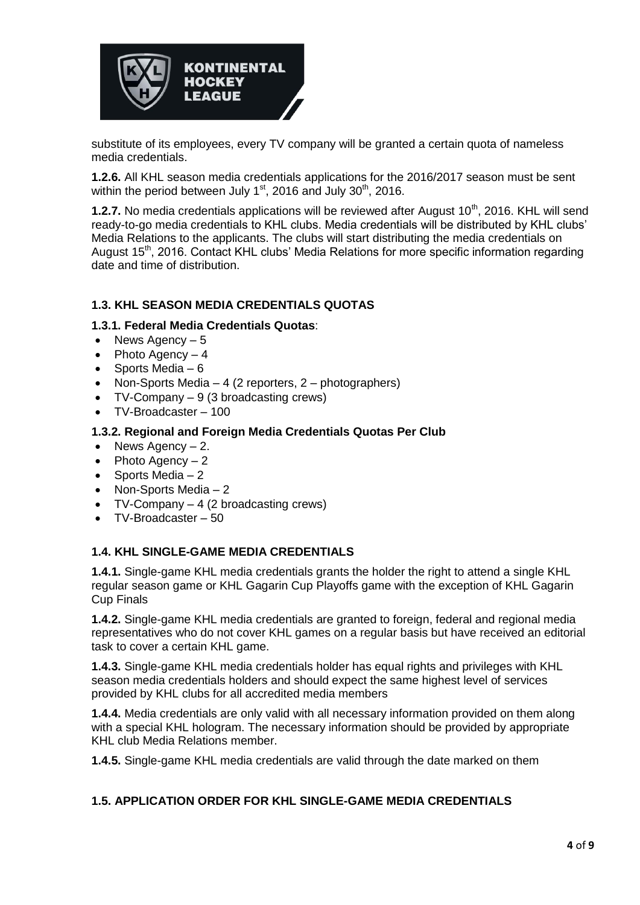

substitute of its employees, every TV company will be granted a certain quota of nameless media credentials.

**1.2.6.** All KHL season media credentials applications for the 2016/2017 season must be sent within the period between July  $1<sup>st</sup>$ , 2016 and July  $30<sup>th</sup>$ , 2016.

**1.2.7.** No media credentials applications will be reviewed after August 10<sup>th</sup>, 2016. KHL will send ready-to-go media credentials to KHL clubs. Media credentials will be distributed by KHL clubs' Media Relations to the applicants. The clubs will start distributing the media credentials on August 15<sup>th</sup>, 2016. Contact KHL clubs' Media Relations for more specific information regarding date and time of distribution.

## **1.3. KHL SEASON MEDIA CREDENTIALS QUOTAS**

### **1.3.1. Federal Media Credentials Quotas**:

- $\bullet$  News Agency  $-5$
- Photo Agency  $-4$
- Sports Media  $-6$
- Non-Sports Media 4 (2 reporters, 2 photographers)
- TV-Company 9 (3 broadcasting crews)
- TV-Broadcaster 100

### **1.3.2. Regional and Foreign Media Credentials Quotas Per Club**

- News Agency  $-2$ .
- Photo Agency  $-2$
- Sports Media  $-2$
- Non-Sports Media 2
- TV-Company 4 (2 broadcasting crews)
- TV-Broadcaster 50

### **1.4. KHL SINGLE-GAME MEDIA CREDENTIALS**

**1.4.1.** Single-game KHL media credentials grants the holder the right to attend a single KHL regular season game or KHL Gagarin Cup Playoffs game with the exception of KHL Gagarin Cup Finals

**1.4.2.** Single-game KHL media credentials are granted to foreign, federal and regional media representatives who do not cover KHL games on a regular basis but have received an editorial task to cover a certain KHL game.

**1.4.3.** Single-game KHL media credentials holder has equal rights and privileges with KHL season media credentials holders and should expect the same highest level of services provided by KHL clubs for all accredited media members

**1.4.4.** Media credentials are only valid with all necessary information provided on them along with a special KHL hologram. The necessary information should be provided by appropriate KHL club Media Relations member.

**1.4.5.** Single-game KHL media credentials are valid through the date marked on them

### **1.5. APPLICATION ORDER FOR KHL SINGLE-GAME MEDIA CREDENTIALS**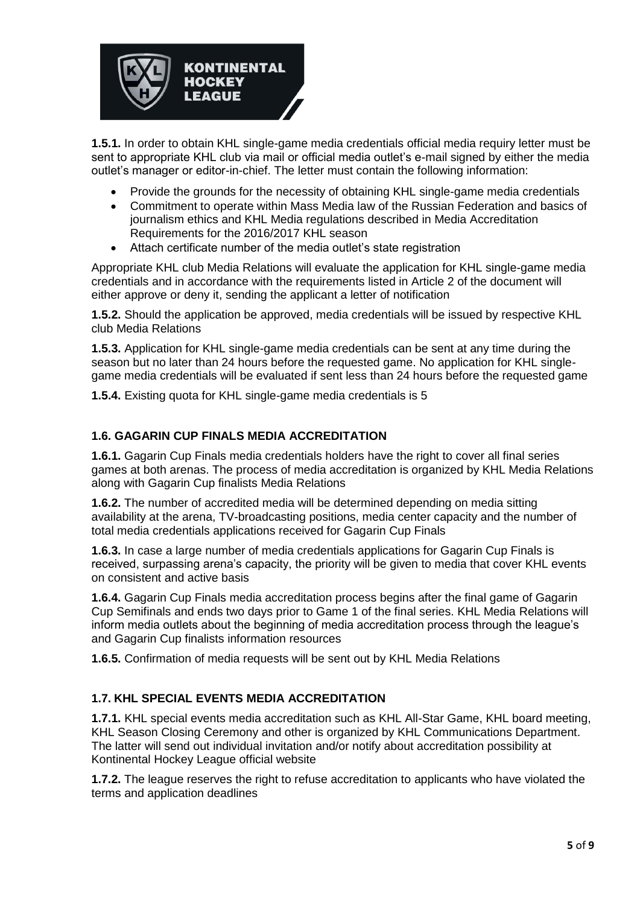

**1.5.1.** In order to obtain KHL single-game media credentials official media requiry letter must be sent to appropriate KHL club via mail or official media outlet's e-mail signed by either the media outlet's manager or editor-in-chief. The letter must contain the following information:

- Provide the grounds for the necessity of obtaining KHL single-game media credentials
- Commitment to operate within Mass Media law of the Russian Federation and basics of journalism ethics and KHL Media regulations described in Media Accreditation Requirements for the 2016/2017 KHL season
- Attach certificate number of the media outlet's state registration

Appropriate KHL club Media Relations will evaluate the application for KHL single-game media credentials and in accordance with the requirements listed in Article 2 of the document will either approve or deny it, sending the applicant a letter of notification

**1.5.2.** Should the application be approved, media credentials will be issued by respective KHL club Media Relations

**1.5.3.** Application for KHL single-game media credentials can be sent at any time during the season but no later than 24 hours before the requested game. No application for KHL singlegame media credentials will be evaluated if sent less than 24 hours before the requested game

**1.5.4.** Existing quota for KHL single-game media credentials is 5

## **1.6. GAGARIN CUP FINALS MEDIA ACCREDITATION**

**1.6.1.** Gagarin Cup Finals media credentials holders have the right to cover all final series games at both arenas. The process of media accreditation is organized by KHL Media Relations along with Gagarin Cup finalists Media Relations

**1.6.2.** The number of accredited media will be determined depending on media sitting availability at the arena, TV-broadcasting positions, media center capacity and the number of total media credentials applications received for Gagarin Cup Finals

**1.6.3.** In case a large number of media credentials applications for Gagarin Cup Finals is received, surpassing arena's capacity, the priority will be given to media that cover KHL events on consistent and active basis

**1.6.4.** Gagarin Cup Finals media accreditation process begins after the final game of Gagarin Cup Semifinals and ends two days prior to Game 1 of the final series. KHL Media Relations will inform media outlets about the beginning of media accreditation process through the league's and Gagarin Cup finalists information resources

**1.6.5.** Confirmation of media requests will be sent out by KHL Media Relations

## **1.7. KHL SPECIAL EVENTS MEDIA ACCREDITATION**

**1.7.1.** KHL special events media accreditation such as KHL All-Star Game, KHL board meeting, KHL Season Closing Ceremony and other is organized by KHL Communications Department. The latter will send out individual invitation and/or notify about accreditation possibility at Kontinental Hockey League official website

**1.7.2.** The league reserves the right to refuse accreditation to applicants who have violated the terms and application deadlines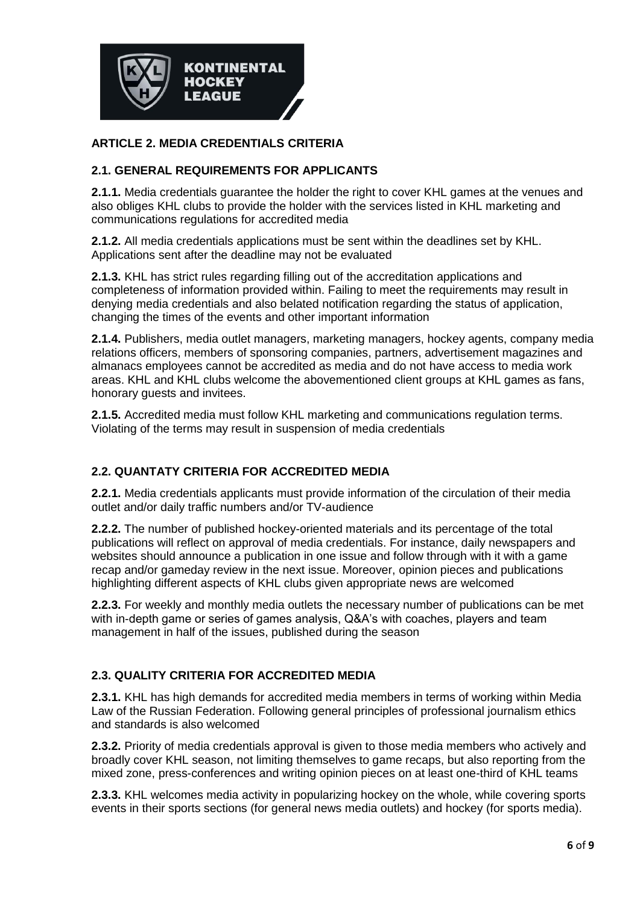

### **ARTICLE 2. MEDIA CREDENTIALS CRITERIA**

### **2.1. GENERAL REQUIREMENTS FOR APPLICANTS**

**2.1.1.** Media credentials guarantee the holder the right to cover KHL games at the venues and also obliges KHL clubs to provide the holder with the services listed in KHL marketing and communications regulations for accredited media

**2.1.2.** All media credentials applications must be sent within the deadlines set by KHL. Applications sent after the deadline may not be evaluated

**2.1.3.** KHL has strict rules regarding filling out of the accreditation applications and completeness of information provided within. Failing to meet the requirements may result in denying media credentials and also belated notification regarding the status of application, changing the times of the events and other important information

**2.1.4.** Publishers, media outlet managers, marketing managers, hockey agents, company media relations officers, members of sponsoring companies, partners, advertisement magazines and almanacs employees cannot be accredited as media and do not have access to media work areas. KHL and KHL clubs welcome the abovementioned client groups at KHL games as fans, honorary guests and invitees.

**2.1.5.** Accredited media must follow KHL marketing and communications regulation terms. Violating of the terms may result in suspension of media credentials

### **2.2. QUANTATY CRITERIA FOR ACCREDITED MEDIA**

**2.2.1.** Media credentials applicants must provide information of the circulation of their media outlet and/or daily traffic numbers and/or TV-audience

**2.2.2.** The number of published hockey-oriented materials and its percentage of the total publications will reflect on approval of media credentials. For instance, daily newspapers and websites should announce a publication in one issue and follow through with it with a game recap and/or gameday review in the next issue. Moreover, opinion pieces and publications highlighting different aspects of KHL clubs given appropriate news are welcomed

**2.2.3.** For weekly and monthly media outlets the necessary number of publications can be met with in-depth game or series of games analysis, Q&A's with coaches, players and team management in half of the issues, published during the season

## **2.3. QUALITY CRITERIA FOR ACCREDITED MEDIA**

**2.3.1.** KHL has high demands for accredited media members in terms of working within Media Law of the Russian Federation. Following general principles of professional journalism ethics and standards is also welcomed

**2.3.2.** Priority of media credentials approval is given to those media members who actively and broadly cover KHL season, not limiting themselves to game recaps, but also reporting from the mixed zone, press-conferences and writing opinion pieces on at least one-third of KHL teams

**2.3.3.** KHL welcomes media activity in popularizing hockey on the whole, while covering sports events in their sports sections (for general news media outlets) and hockey (for sports media).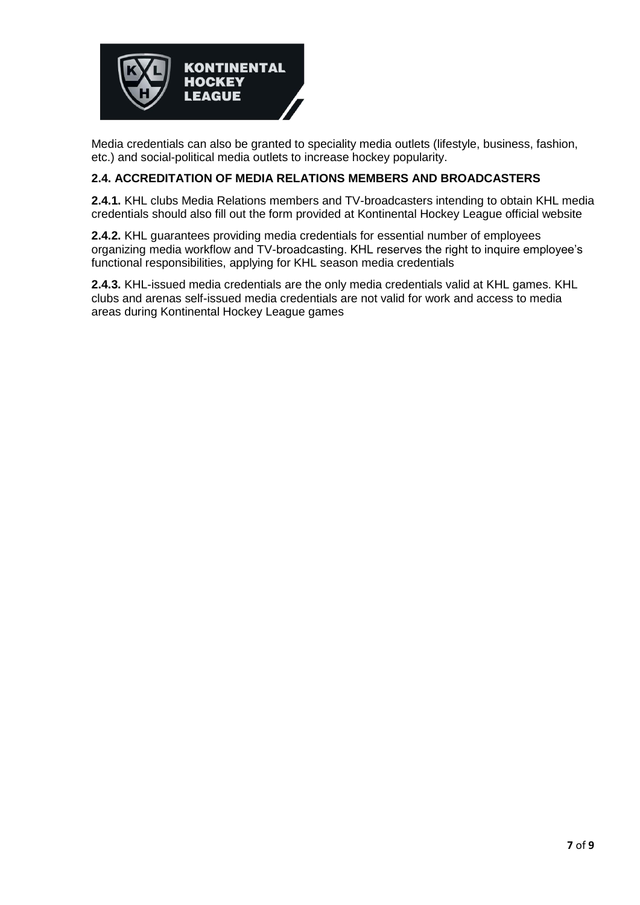

Media credentials can also be granted to speciality media outlets (lifestyle, business, fashion, etc.) and social-political media outlets to increase hockey popularity.

### **2.4. ACCREDITATION OF MEDIA RELATIONS MEMBERS AND BROADCASTERS**

**2.4.1.** KHL clubs Media Relations members and TV-broadcasters intending to obtain KHL media credentials should also fill out the form provided at Kontinental Hockey League official website

**2.4.2.** KHL guarantees providing media credentials for essential number of employees organizing media workflow and TV-broadcasting. KHL reserves the right to inquire employee's functional responsibilities, applying for KHL season media credentials

**2.4.3.** KHL-issued media credentials are the only media credentials valid at KHL games. KHL clubs and arenas self-issued media credentials are not valid for work and access to media areas during Kontinental Hockey League games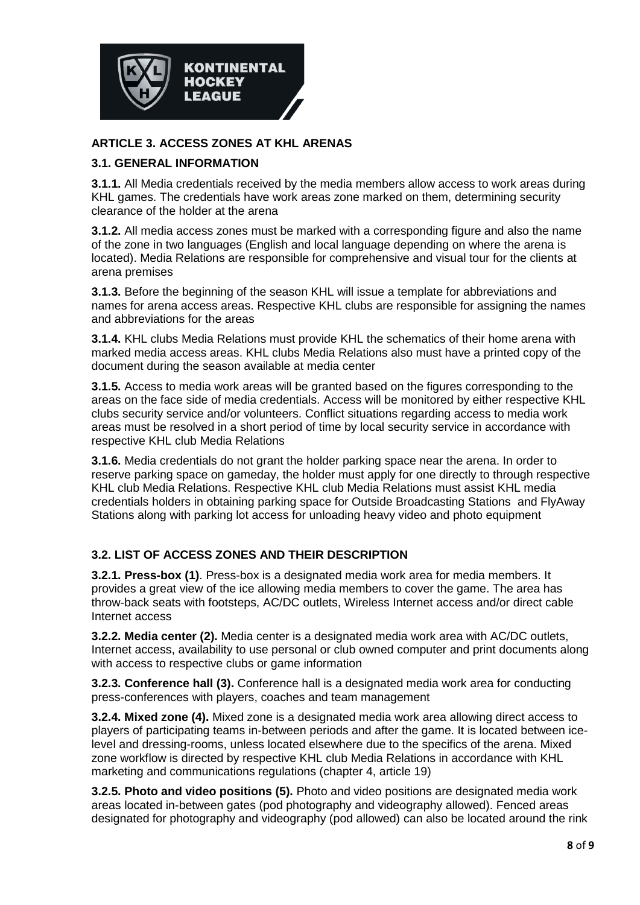

### **ARTICLE 3. ACCESS ZONES AT KHL ARENAS**

### **3.1. GENERAL INFORMATION**

**3.1.1.** All Media credentials received by the media members allow access to work areas during KHL games. The credentials have work areas zone marked on them, determining security clearance of the holder at the arena

**3.1.2.** All media access zones must be marked with a corresponding figure and also the name of the zone in two languages (English and local language depending on where the arena is located). Media Relations are responsible for comprehensive and visual tour for the clients at arena premises

**3.1.3.** Before the beginning of the season KHL will issue a template for abbreviations and names for arena access areas. Respective KHL clubs are responsible for assigning the names and abbreviations for the areas

**3.1.4.** KHL clubs Media Relations must provide KHL the schematics of their home arena with marked media access areas. KHL clubs Media Relations also must have a printed copy of the document during the season available at media center

**3.1.5.** Access to media work areas will be granted based on the figures corresponding to the areas on the face side of media credentials. Access will be monitored by either respective KHL clubs security service and/or volunteers. Conflict situations regarding access to media work areas must be resolved in a short period of time by local security service in accordance with respective KHL club Media Relations

**3.1.6.** Media credentials do not grant the holder parking space near the arena. In order to reserve parking space on gameday, the holder must apply for one directly to through respective KHL club Media Relations. Respective KHL club Media Relations must assist KHL media credentials holders in obtaining parking space for Outside Broadcasting Stations and FlyAway Stations along with parking lot access for unloading heavy video and photo equipment

## **3.2. LIST OF ACCESS ZONES AND THEIR DESCRIPTION**

**3.2.1. Press-box (1)**. Press-box is a designated media work area for media members. It provides a great view of the ice allowing media members to cover the game. The area has throw-back seats with footsteps, AC/DC outlets, Wireless Internet access and/or direct cable Internet access

**3.2.2. Media center (2).** Media center is a designated media work area with AC/DC outlets, Internet access, availability to use personal or club owned computer and print documents along with access to respective clubs or game information

**3.2.3. Conference hall (3).** Conference hall is a designated media work area for conducting press-conferences with players, coaches and team management

**3.2.4. Mixed zone (4).** Mixed zone is a designated media work area allowing direct access to players of participating teams in-between periods and after the game. It is located between icelevel and dressing-rooms, unless located elsewhere due to the specifics of the arena. Mixed zone workflow is directed by respective KHL club Media Relations in accordance with KHL marketing and communications regulations (chapter 4, article 19)

**3.2.5. Photo and video positions (5).** Photo and video positions are designated media work areas located in-between gates (pod photography and videography allowed). Fenced areas designated for photography and videography (pod allowed) can also be located around the rink